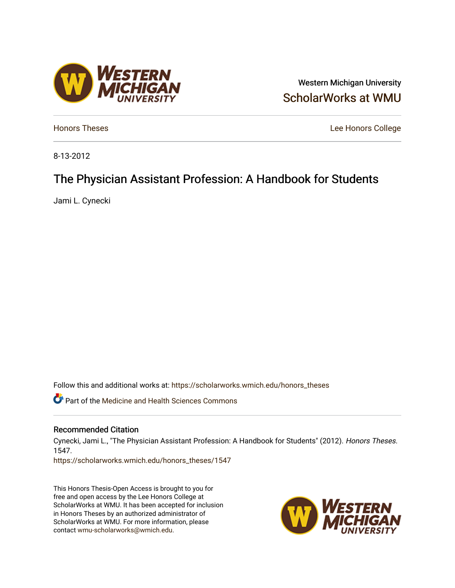## Western Michigan University [ScholarWorks at WMU](https://scholarworks.wmich.edu/)

**[Honors Theses](https://scholarworks.wmich.edu/honors_theses)** Lee Honors College

8-13-2012

# The Physician Assistant Profession: A Handbook for Students

Jami L. Cynecki

Follow this and additional works at: [https://scholarworks.wmich.edu/honors\\_theses](https://scholarworks.wmich.edu/honors_theses?utm_source=scholarworks.wmich.edu%2Fhonors_theses%2F1547&utm_medium=PDF&utm_campaign=PDFCoverPages)

Part of the [Medicine and Health Sciences Commons](http://network.bepress.com/hgg/discipline/648?utm_source=scholarworks.wmich.edu%2Fhonors_theses%2F1547&utm_medium=PDF&utm_campaign=PDFCoverPages) 

#### Recommended Citation

Cynecki, Jami L., "The Physician Assistant Profession: A Handbook for Students" (2012). Honors Theses. 1547.

[https://scholarworks.wmich.edu/honors\\_theses/1547](https://scholarworks.wmich.edu/honors_theses/1547?utm_source=scholarworks.wmich.edu%2Fhonors_theses%2F1547&utm_medium=PDF&utm_campaign=PDFCoverPages) 

This Honors Thesis-Open Access is brought to you for free and open access by the Lee Honors College at ScholarWorks at WMU. It has been accepted for inclusion in Honors Theses by an authorized administrator of ScholarWorks at WMU. For more information, please contact [wmu-scholarworks@wmich.edu](mailto:wmu-scholarworks@wmich.edu).



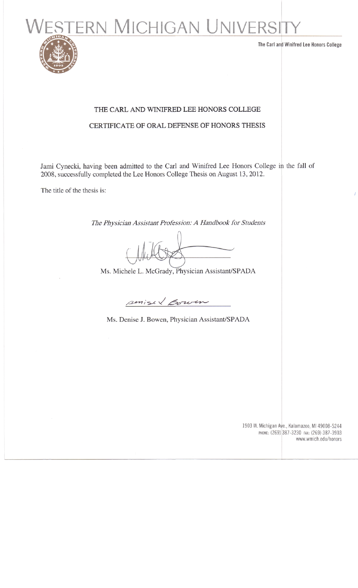**ERN MICHIGAN UNIVERSI** 



The Carl and Winifred Lee Honors College

# THE CARL AND WINIFRED LEE HONORS COLLEGE

## CERTIFICATE OF ORAL DEFENSE OF HONORS THESIS

Jami Cynecki, having been admitted to the Carl and Winifred Lee Honors College in the fall of 2008, successfully completed the Lee Honors College Thesis on August 13, 2012.

The title of the thesis is:

*The Physician Assistant Profession: A Handbook for Students*

Ms. Michele L. McGrady, Physician Assistant/SPADA

surised Bowen

Ms. Denise J. Bowen, Physician Assistant/SPADA

1903 W. Michigan Ave., Kalamazoo, Ml 49008-5244 PHONE: (269) 387-3230 FAX: (269) 387-3903 www.wmich.edu/honors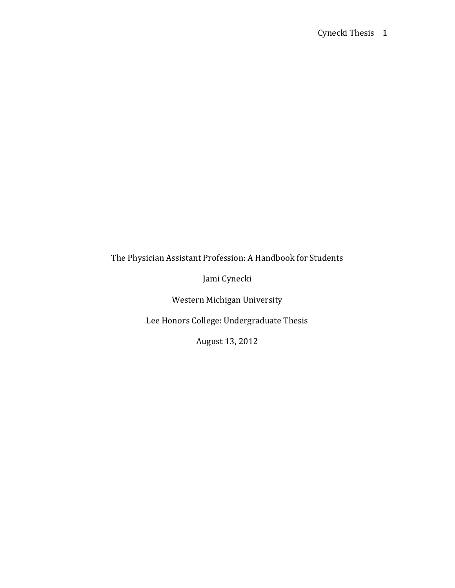The Physician Assistant Profession: A Handbook for Students

Jami Cynecki

Western Michigan University

Lee Honors College: Undergraduate Thesis

August 13, 2012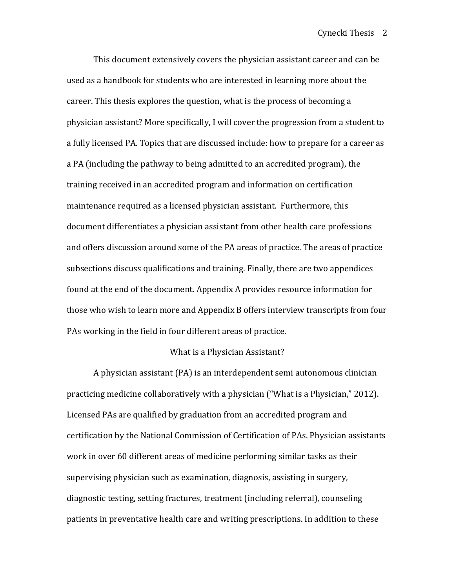This document extensively covers the physician assistant career and can be used as a handbook for students who are interested in learning more about the career. This thesis explores the question, what is the process of becoming a physician assistant? More specifically, I will cover the progression from a student to a fully licensed PA. Topics that are discussed include: how to prepare for a career as a PA (including the pathway to being admitted to an accredited program), the training received in an accredited program and information on certification maintenance required as a licensed physician assistant. Furthermore, this document differentiates a physician assistant from other health care professions and offers discussion around some of the PA areas of practice. The areas of practice subsections discuss qualifications and training. Finally, there are two appendices found at the end of the document. Appendix A provides resource information for those who wish to learn more and Appendix B offers interview transcripts from four PAs working in the field in four different areas of practice.

#### What is a Physician Assistant?

A physician assistant  $(PA)$  is an interdependent semi autonomous clinician practicing medicine collaboratively with a physician ("What is a Physician,"  $2012$ ). Licensed PAs are qualified by graduation from an accredited program and certification by the National Commission of Certification of PAs. Physician assistants work in over 60 different areas of medicine performing similar tasks as their supervising physician such as examination, diagnosis, assisting in surgery, diagnostic testing, setting fractures, treatment (including referral), counseling patients in preventative health care and writing prescriptions. In addition to these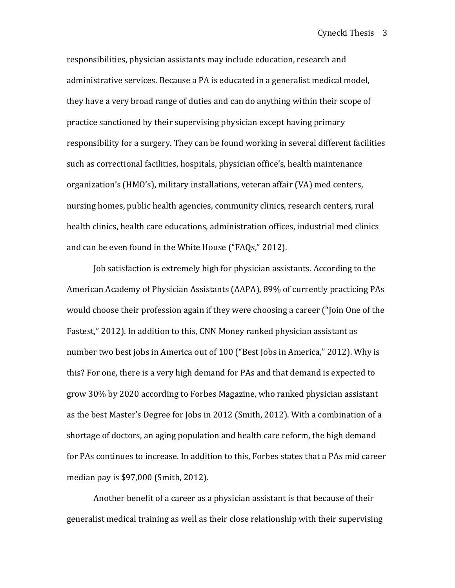responsibilities, physician assistants may include education, research and administrative services. Because a PA is educated in a generalist medical model, they have a very broad range of duties and can do anything within their scope of practice sanctioned by their supervising physician except having primary responsibility for a surgery. They can be found working in several different facilities such as correctional facilities, hospitals, physician office's, health maintenance organization's (HMO's), military installations, veteran affair (VA) med centers, nursing homes, public health agencies, community clinics, research centers, rural health clinics, health care educations, administration offices, industrial med clinics and can be even found in the White House ("FAQs," 2012).

Job satisfaction is extremely high for physician assistants. According to the American Academy of Physician Assistants (AAPA), 89% of currently practicing PAs would choose their profession again if they were choosing a career ("Join One of the Fastest," 2012). In addition to this, CNN Money ranked physician assistant as number two best jobs in America out of 100 ("Best Jobs in America," 2012). Why is this? For one, there is a very high demand for PAs and that demand is expected to grow 30% by 2020 according to Forbes Magazine, who ranked physician assistant as the best Master's Degree for Jobs in 2012 (Smith, 2012). With a combination of a shortage of doctors, an aging population and health care reform, the high demand for PAs continues to increase. In addition to this, Forbes states that a PAs mid career median pay is  $$97,000$  (Smith, 2012).

Another benefit of a career as a physician assistant is that because of their generalist medical training as well as their close relationship with their supervising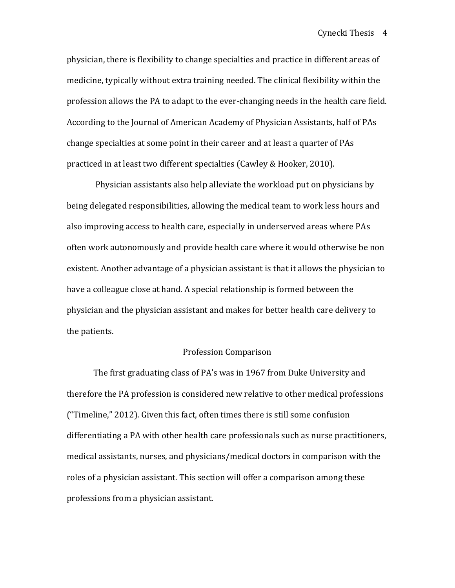physician, there is flexibility to change specialties and practice in different areas of medicine, typically without extra training needed. The clinical flexibility within the profession allows the PA to adapt to the ever-changing needs in the health care field. According to the Journal of American Academy of Physician Assistants, half of PAs change specialties at some point in their career and at least a quarter of PAs practiced in at least two different specialties (Cawley & Hooker, 2010).

Physician assistants also help alleviate the workload put on physicians by being delegated responsibilities, allowing the medical team to work less hours and also improving access to health care, especially in underserved areas where PAs often work autonomously and provide health care where it would otherwise be non existent. Another advantage of a physician assistant is that it allows the physician to have a colleague close at hand. A special relationship is formed between the physician and the physician assistant and makes for better health care delivery to the patients.

#### Profession Comparison

The first graduating class of PA's was in 1967 from Duke University and therefore the PA profession is considered new relative to other medical professions ("Timeline,"  $2012$ ). Given this fact, often times there is still some confusion differentiating a PA with other health care professionals such as nurse practitioners, medical assistants, nurses, and physicians/medical doctors in comparison with the roles of a physician assistant. This section will offer a comparison among these professions from a physician assistant.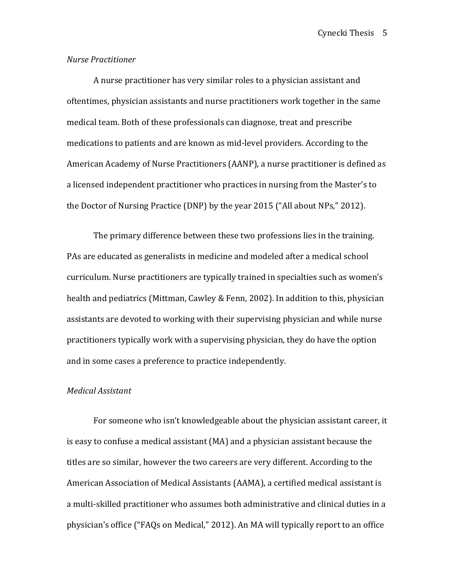#### *Nurse Practitioner*

A nurse practitioner has very similar roles to a physician assistant and oftentimes, physician assistants and nurse practitioners work together in the same medical team. Both of these professionals can diagnose, treat and prescribe medications to patients and are known as mid-level providers. According to the American Academy of Nurse Practitioners (AANP), a nurse practitioner is defined as a licensed independent practitioner who practices in nursing from the Master's to the Doctor of Nursing Practice (DNP) by the year  $2015$  ("All about NPs,"  $2012$ ).

The primary difference between these two professions lies in the training. PAs are educated as generalists in medicine and modeled after a medical school curriculum. Nurse practitioners are typically trained in specialties such as women's health and pediatrics (Mittman, Cawley & Fenn, 2002). In addition to this, physician assistants are devoted to working with their supervising physician and while nurse practitioners typically work with a supervising physician, they do have the option and in some cases a preference to practice independently.

#### *Medical Assistant*

For someone who isn't knowledgeable about the physician assistant career, it is easy to confuse a medical assistant  $(MA)$  and a physician assistant because the titles are so similar, however the two careers are very different. According to the American Association of Medical Assistants (AAMA), a certified medical assistant is a multi-skilled practitioner who assumes both administrative and clinical duties in a physician's office ("FAQs on Medical," 2012). An MA will typically report to an office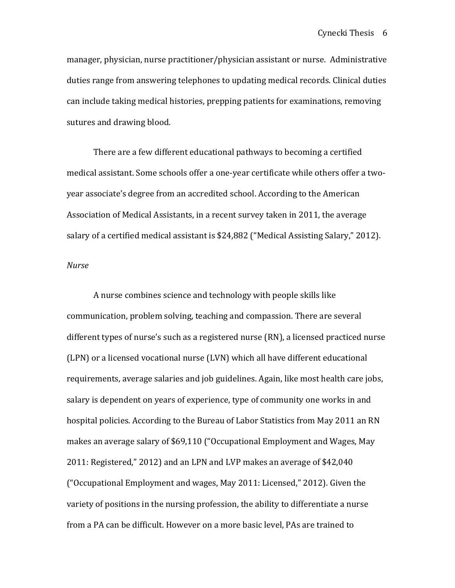manager, physician, nurse practitioner/physician assistant or nurse. Administrative duties range from answering telephones to updating medical records. Clinical duties can include taking medical histories, prepping patients for examinations, removing sutures and drawing blood.

There are a few different educational pathways to becoming a certified medical assistant. Some schools offer a one-year certificate while others offer a twoyear associate's degree from an accredited school. According to the American Association of Medical Assistants, in a recent survey taken in 2011, the average salary of a certified medical assistant is \$24,882 ("Medical Assisting Salary," 2012).

#### *Nurse*

A nurse combines science and technology with people skills like communication, problem solving, teaching and compassion. There are several different types of nurse's such as a registered nurse (RN), a licensed practiced nurse (LPN) or a licensed vocational nurse (LVN) which all have different educational requirements, average salaries and job guidelines. Again, like most health care jobs, salary is dependent on years of experience, type of community one works in and hospital policies. According to the Bureau of Labor Statistics from May 2011 an RN makes an average salary of \$69,110 ("Occupational Employment and Wages, May  $2011$ : Registered,"  $2012$ ) and an LPN and LVP makes an average of \$42,040 ("Occupational Employment and wages, May 2011: Licensed," 2012). Given the variety of positions in the nursing profession, the ability to differentiate a nurse from a PA can be difficult. However on a more basic level, PAs are trained to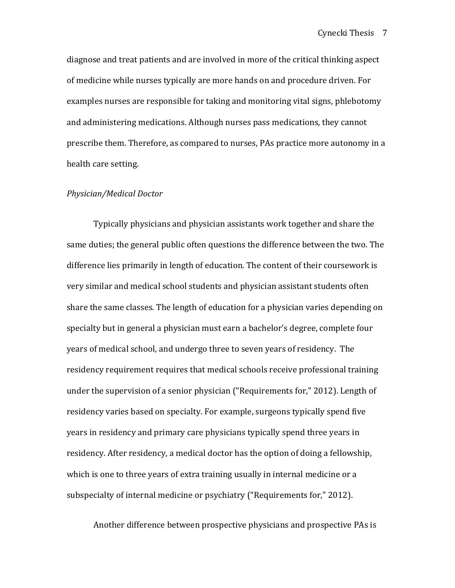diagnose and treat patients and are involved in more of the critical thinking aspect of medicine while nurses typically are more hands on and procedure driven. For examples nurses are responsible for taking and monitoring vital signs, phlebotomy and administering medications. Although nurses pass medications, they cannot prescribe them. Therefore, as compared to nurses, PAs practice more autonomy in a health care setting.

#### *Physician/Medical Doctor*

Typically physicians and physician assistants work together and share the same duties; the general public often questions the difference between the two. The difference lies primarily in length of education. The content of their coursework is very similar and medical school students and physician assistant students often share the same classes. The length of education for a physician varies depending on specialty but in general a physician must earn a bachelor's degree, complete four years of medical school, and undergo three to seven years of residency. The residency requirement requires that medical schools receive professional training under the supervision of a senior physician ("Requirements for," 2012). Length of residency varies based on specialty. For example, surgeons typically spend five years in residency and primary care physicians typically spend three years in residency. After residency, a medical doctor has the option of doing a fellowship, which is one to three years of extra training usually in internal medicine or a subspecialty of internal medicine or psychiatry ("Requirements for," 2012).

Another difference between prospective physicians and prospective PAs is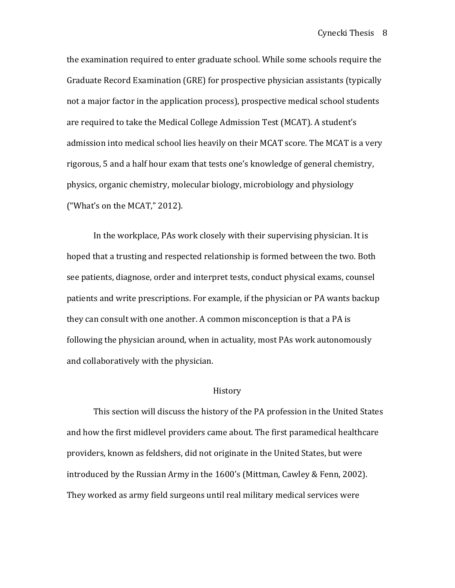the examination required to enter graduate school. While some schools require the Graduate Record Examination (GRE) for prospective physician assistants (typically not a major factor in the application process), prospective medical school students are required to take the Medical College Admission Test (MCAT). A student's admission into medical school lies heavily on their MCAT score. The MCAT is a very rigorous, 5 and a half hour exam that tests one's knowledge of general chemistry, physics, organic chemistry, molecular biology, microbiology and physiology ("What's on the MCAT,"  $2012$ ).

In the workplace, PAs work closely with their supervising physician. It is hoped that a trusting and respected relationship is formed between the two. Both see patients, diagnose, order and interpret tests, conduct physical exams, counsel patients and write prescriptions. For example, if the physician or PA wants backup they can consult with one another. A common misconception is that a PA is following the physician around, when in actuality, most PAs work autonomously and collaboratively with the physician.

#### History

This section will discuss the history of the PA profession in the United States and how the first midlevel providers came about. The first paramedical healthcare providers, known as feldshers, did not originate in the United States, but were introduced by the Russian Army in the  $1600$ 's (Mittman, Cawley & Fenn, 2002). They worked as army field surgeons until real military medical services were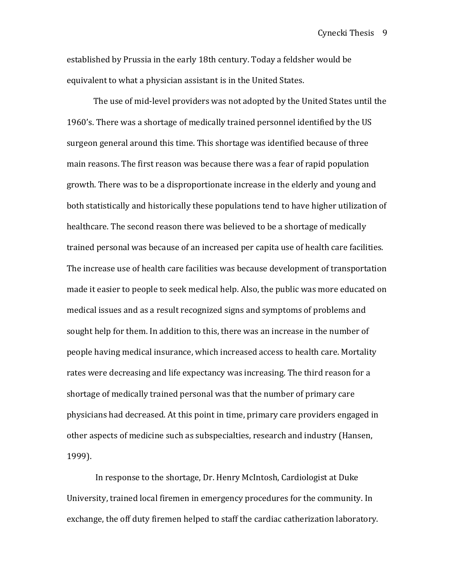established by Prussia in the early 18th century. Today a feldsher would be equivalent to what a physician assistant is in the United States.

The use of mid-level providers was not adopted by the United States until the 1960's. There was a shortage of medically trained personnel identified by the US surgeon general around this time. This shortage was identified because of three main reasons. The first reason was because there was a fear of rapid population growth. There was to be a disproportionate increase in the elderly and young and both statistically and historically these populations tend to have higher utilization of healthcare. The second reason there was believed to be a shortage of medically trained personal was because of an increased per capita use of health care facilities. The increase use of health care facilities was because development of transportation made it easier to people to seek medical help. Also, the public was more educated on medical issues and as a result recognized signs and symptoms of problems and sought help for them. In addition to this, there was an increase in the number of people having medical insurance, which increased access to health care. Mortality rates were decreasing and life expectancy was increasing. The third reason for a shortage of medically trained personal was that the number of primary care physicians had decreased. At this point in time, primary care providers engaged in other aspects of medicine such as subspecialties, research and industry (Hansen, 1999). 

In response to the shortage, Dr. Henry McIntosh, Cardiologist at Duke University, trained local firemen in emergency procedures for the community. In exchange, the off duty firemen helped to staff the cardiac catherization laboratory.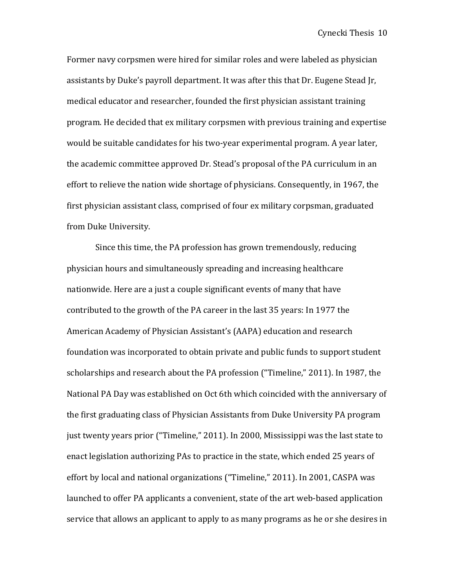Former navy corpsmen were hired for similar roles and were labeled as physician assistants by Duke's payroll department. It was after this that Dr. Eugene Stead Ir, medical educator and researcher, founded the first physician assistant training program. He decided that ex military corpsmen with previous training and expertise would be suitable candidates for his two-year experimental program. A year later, the academic committee approved Dr. Stead's proposal of the PA curriculum in an effort to relieve the nation wide shortage of physicians. Consequently, in 1967, the first physician assistant class, comprised of four ex military corpsman, graduated from Duke University.

Since this time, the PA profession has grown tremendously, reducing physician hours and simultaneously spreading and increasing healthcare nationwide. Here are a just a couple significant events of many that have contributed to the growth of the PA career in the last 35 years: In 1977 the American Academy of Physician Assistant's (AAPA) education and research foundation was incorporated to obtain private and public funds to support student scholarships and research about the PA profession ("Timeline," 2011). In 1987, the National PA Day was established on Oct 6th which coincided with the anniversary of the first graduating class of Physician Assistants from Duke University PA program just twenty years prior ("Timeline," 2011). In 2000, Mississippi was the last state to enact legislation authorizing PAs to practice in the state, which ended 25 years of effort by local and national organizations ("Timeline," 2011). In 2001, CASPA was launched to offer PA applicants a convenient, state of the art web-based application service that allows an applicant to apply to as many programs as he or she desires in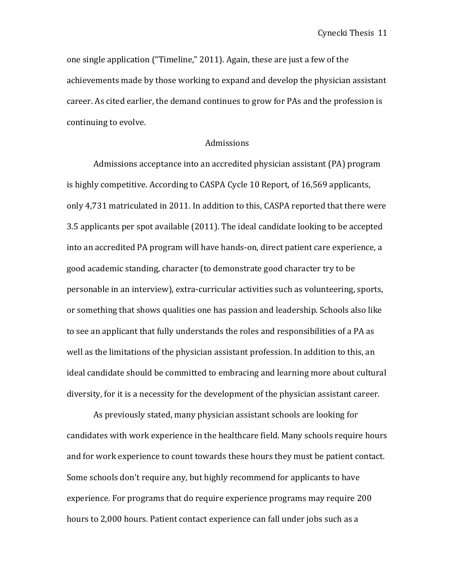one single application ("Timeline," 2011). Again, these are just a few of the achievements made by those working to expand and develop the physician assistant career. As cited earlier, the demand continues to grow for PAs and the profession is continuing to evolve.

#### Admissions

Admissions acceptance into an accredited physician assistant (PA) program is highly competitive. According to CASPA Cycle 10 Report, of 16,569 applicants, only 4.731 matriculated in 2011. In addition to this, CASPA reported that there were 3.5 applicants per spot available (2011). The ideal candidate looking to be accepted into an accredited PA program will have hands-on, direct patient care experience, a good academic standing, character (to demonstrate good character try to be personable in an interview), extra-curricular activities such as volunteering, sports, or something that shows qualities one has passion and leadership. Schools also like to see an applicant that fully understands the roles and responsibilities of a PA as well as the limitations of the physician assistant profession. In addition to this, an ideal candidate should be committed to embracing and learning more about cultural diversity, for it is a necessity for the development of the physician assistant career.

As previously stated, many physician assistant schools are looking for candidates with work experience in the healthcare field. Many schools require hours and for work experience to count towards these hours they must be patient contact. Some schools don't require any, but highly recommend for applicants to have experience. For programs that do require experience programs may require 200 hours to 2,000 hours. Patient contact experience can fall under jobs such as a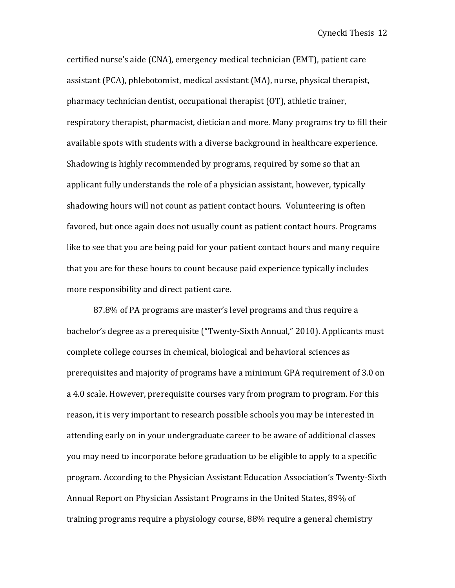certified nurse's aide (CNA), emergency medical technician (EMT), patient care assistant (PCA), phlebotomist, medical assistant (MA), nurse, physical therapist, pharmacy technician dentist, occupational therapist (OT), athletic trainer, respiratory therapist, pharmacist, dietician and more. Many programs try to fill their available spots with students with a diverse background in healthcare experience. Shadowing is highly recommended by programs, required by some so that an applicant fully understands the role of a physician assistant, however, typically shadowing hours will not count as patient contact hours. Volunteering is often favored, but once again does not usually count as patient contact hours. Programs like to see that you are being paid for your patient contact hours and many require that you are for these hours to count because paid experience typically includes more responsibility and direct patient care.

87.8% of PA programs are master's level programs and thus require a bachelor's degree as a prerequisite ("Twenty-Sixth Annual," 2010). Applicants must complete college courses in chemical, biological and behavioral sciences as prerequisites and majority of programs have a minimum GPA requirement of 3.0 on a 4.0 scale. However, prerequisite courses vary from program to program. For this reason, it is very important to research possible schools you may be interested in attending early on in your undergraduate career to be aware of additional classes you may need to incorporate before graduation to be eligible to apply to a specific program. According to the Physician Assistant Education Association's Twenty-Sixth Annual Report on Physician Assistant Programs in the United States, 89% of training programs require a physiology course, 88% require a general chemistry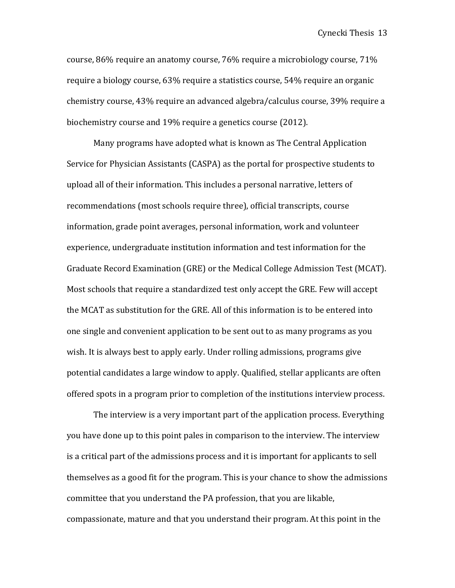course, 86% require an anatomy course, 76% require a microbiology course, 71% require a biology course, 63% require a statistics course, 54% require an organic chemistry course, 43% require an advanced algebra/calculus course, 39% require a biochemistry course and 19% require a genetics course (2012).

Many programs have adopted what is known as The Central Application Service for Physician Assistants (CASPA) as the portal for prospective students to upload all of their information. This includes a personal narrative, letters of recommendations (most schools require three), official transcripts, course information, grade point averages, personal information, work and volunteer experience, undergraduate institution information and test information for the Graduate Record Examination (GRE) or the Medical College Admission Test (MCAT). Most schools that require a standardized test only accept the GRE. Few will accept the MCAT as substitution for the GRE. All of this information is to be entered into one single and convenient application to be sent out to as many programs as you wish. It is always best to apply early. Under rolling admissions, programs give potential candidates a large window to apply. Qualified, stellar applicants are often offered spots in a program prior to completion of the institutions interview process.

The interview is a very important part of the application process. Everything you have done up to this point pales in comparison to the interview. The interview is a critical part of the admissions process and it is important for applicants to sell themselves as a good fit for the program. This is your chance to show the admissions committee that you understand the PA profession, that you are likable, compassionate, mature and that you understand their program. At this point in the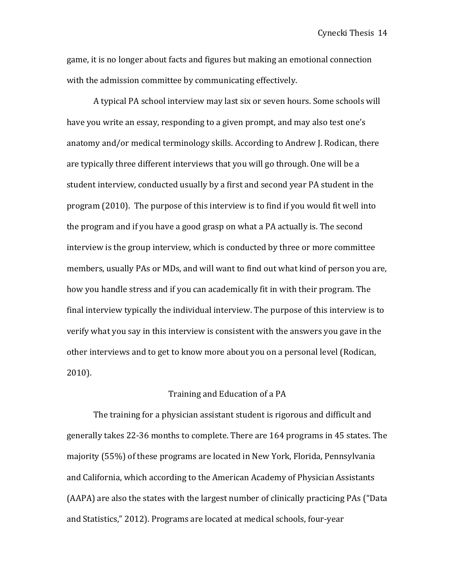game, it is no longer about facts and figures but making an emotional connection with the admission committee by communicating effectively.

A typical PA school interview may last six or seven hours. Some schools will have you write an essay, responding to a given prompt, and may also test one's anatomy and/or medical terminology skills. According to Andrew J. Rodican, there are typically three different interviews that you will go through. One will be a student interview, conducted usually by a first and second year PA student in the program (2010). The purpose of this interview is to find if you would fit well into the program and if you have a good grasp on what a PA actually is. The second interview is the group interview, which is conducted by three or more committee members, usually PAs or MDs, and will want to find out what kind of person you are, how you handle stress and if you can academically fit in with their program. The final interview typically the individual interview. The purpose of this interview is to verify what you say in this interview is consistent with the answers you gave in the other interviews and to get to know more about you on a personal level (Rodican, 2010). 

## Training and Education of a PA

The training for a physician assistant student is rigorous and difficult and generally takes 22-36 months to complete. There are 164 programs in 45 states. The majority (55%) of these programs are located in New York, Florida, Pennsylvania and California, which according to the American Academy of Physician Assistants (AAPA) are also the states with the largest number of clinically practicing PAs ("Data and Statistics," 2012). Programs are located at medical schools, four-year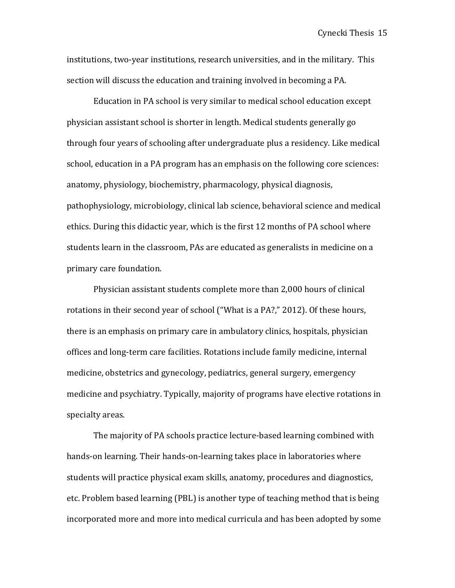institutions, two-year institutions, research universities, and in the military. This section will discuss the education and training involved in becoming a PA.

Education in PA school is very similar to medical school education except physician assistant school is shorter in length. Medical students generally go through four years of schooling after undergraduate plus a residency. Like medical school, education in a PA program has an emphasis on the following core sciences: anatomy, physiology, biochemistry, pharmacology, physical diagnosis, pathophysiology, microbiology, clinical lab science, behavioral science and medical ethics. During this didactic year, which is the first 12 months of PA school where students learn in the classroom, PAs are educated as generalists in medicine on a primary care foundation.

Physician assistant students complete more than 2,000 hours of clinical rotations in their second year of school ("What is a PA?," 2012). Of these hours, there is an emphasis on primary care in ambulatory clinics, hospitals, physician offices and long-term care facilities. Rotations include family medicine, internal medicine, obstetrics and gynecology, pediatrics, general surgery, emergency medicine and psychiatry. Typically, majority of programs have elective rotations in specialty areas.

The majority of PA schools practice lecture-based learning combined with hands-on learning. Their hands-on-learning takes place in laboratories where students will practice physical exam skills, anatomy, procedures and diagnostics, etc. Problem based learning (PBL) is another type of teaching method that is being incorporated more and more into medical curricula and has been adopted by some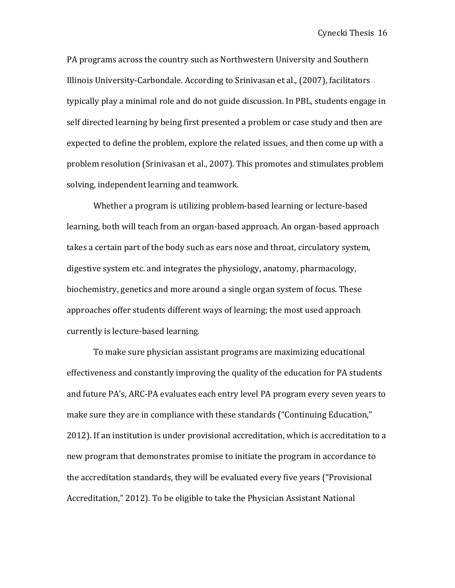PA programs across the country such as Northwestern University and Southern Illinois University-Carbondale. According to Srinivasan et al., (2007), facilitators typically play a minimal role and do not guide discussion. In PBL, students engage in self directed learning by being first presented a problem or case study and then are expected to define the problem, explore the related issues, and then come up with a problem resolution (Srinivasan et al., 2007). This promotes and stimulates problem solving, independent learning and teamwork.

Whether a program is utilizing problem-based learning or lecture-based learning, both will teach from an organ-based approach. An organ-based approach takes a certain part of the body such as ears nose and throat, circulatory system, digestive system etc. and integrates the physiology, anatomy, pharmacology, biochemistry, genetics and more around a single organ system of focus. These approaches offer students different ways of learning; the most used approach currently is lecture-based learning.

To make sure physician assistant programs are maximizing educational effectiveness and constantly improving the quality of the education for PA students and future PA's, ARC-PA evaluates each entry level PA program every seven years to make sure they are in compliance with these standards ("Continuing Education," 2012). If an institution is under provisional accreditation, which is accreditation to a new program that demonstrates promise to initiate the program in accordance to the accreditation standards, they will be evaluated every five years ("Provisional Accreditation," 2012). To be eligible to take the Physician Assistant National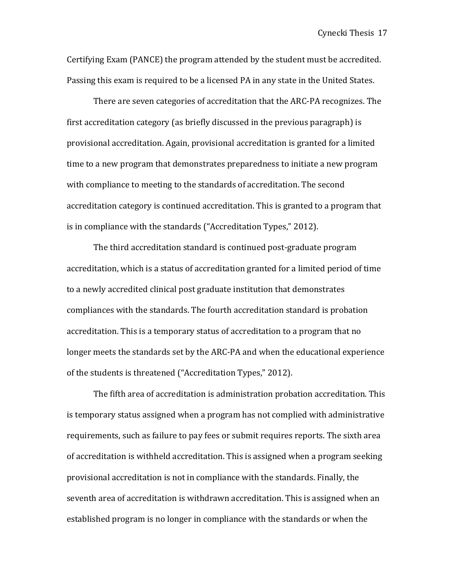Certifying Exam (PANCE) the program attended by the student must be accredited. Passing this exam is required to be a licensed PA in any state in the United States.

There are seven categories of accreditation that the ARC-PA recognizes. The first accreditation category (as briefly discussed in the previous paragraph) is provisional accreditation. Again, provisional accreditation is granted for a limited time to a new program that demonstrates preparedness to initiate a new program with compliance to meeting to the standards of accreditation. The second accreditation category is continued accreditation. This is granted to a program that is in compliance with the standards ("Accreditation Types," 2012).

The third accreditation standard is continued post-graduate program accreditation, which is a status of accreditation granted for a limited period of time to a newly accredited clinical post graduate institution that demonstrates compliances with the standards. The fourth accreditation standard is probation accreditation. This is a temporary status of accreditation to a program that no longer meets the standards set by the ARC-PA and when the educational experience of the students is threatened ("Accreditation Types," 2012).

The fifth area of accreditation is administration probation accreditation. This is temporary status assigned when a program has not complied with administrative requirements, such as failure to pay fees or submit requires reports. The sixth area of accreditation is withheld accreditation. This is assigned when a program seeking provisional accreditation is not in compliance with the standards. Finally, the seventh area of accreditation is withdrawn accreditation. This is assigned when an established program is no longer in compliance with the standards or when the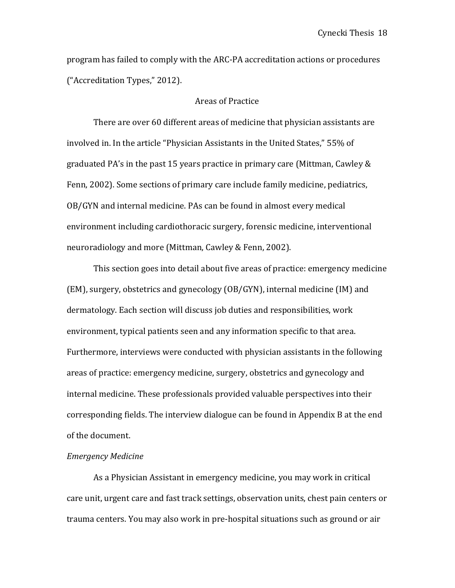program has failed to comply with the ARC-PA accreditation actions or procedures ("Accreditation Types," 2012).

#### Areas of Practice

There are over 60 different areas of medicine that physician assistants are involved in. In the article "Physician Assistants in the United States," 55% of graduated PA's in the past 15 years practice in primary care (Mittman, Cawley  $&$ Fenn, 2002). Some sections of primary care include family medicine, pediatrics, OB/GYN and internal medicine. PAs can be found in almost every medical environment including cardiothoracic surgery, forensic medicine, interventional neuroradiology and more (Mittman, Cawley & Fenn, 2002).

This section goes into detail about five areas of practice: emergency medicine (EM), surgery, obstetrics and gynecology (OB/GYN), internal medicine (IM) and dermatology. Each section will discuss job duties and responsibilities, work environment, typical patients seen and any information specific to that area. Furthermore, interviews were conducted with physician assistants in the following areas of practice: emergency medicine, surgery, obstetrics and gynecology and internal medicine. These professionals provided valuable perspectives into their corresponding fields. The interview dialogue can be found in Appendix B at the end of the document.

#### *Emergency Medicine*

As a Physician Assistant in emergency medicine, you may work in critical care unit, urgent care and fast track settings, observation units, chest pain centers or trauma centers. You may also work in pre-hospital situations such as ground or air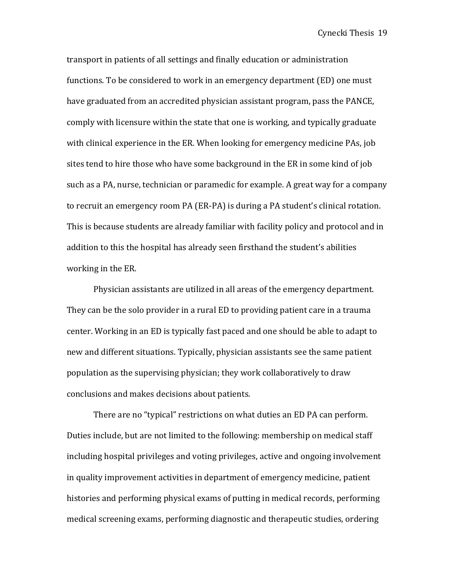transport in patients of all settings and finally education or administration functions. To be considered to work in an emergency department (ED) one must have graduated from an accredited physician assistant program, pass the PANCE, comply with licensure within the state that one is working, and typically graduate with clinical experience in the ER. When looking for emergency medicine PAs, job sites tend to hire those who have some background in the ER in some kind of job such as a PA, nurse, technician or paramedic for example. A great way for a company to recruit an emergency room PA (ER-PA) is during a PA student's clinical rotation. This is because students are already familiar with facility policy and protocol and in addition to this the hospital has already seen firsthand the student's abilities working in the ER.

Physician assistants are utilized in all areas of the emergency department. They can be the solo provider in a rural ED to providing patient care in a trauma center. Working in an ED is typically fast paced and one should be able to adapt to new and different situations. Typically, physician assistants see the same patient population as the supervising physician; they work collaboratively to draw conclusions and makes decisions about patients.

There are no "typical" restrictions on what duties an ED PA can perform. Duties include, but are not limited to the following: membership on medical staff including hospital privileges and voting privileges, active and ongoing involvement in quality improvement activities in department of emergency medicine, patient histories and performing physical exams of putting in medical records, performing medical screening exams, performing diagnostic and therapeutic studies, ordering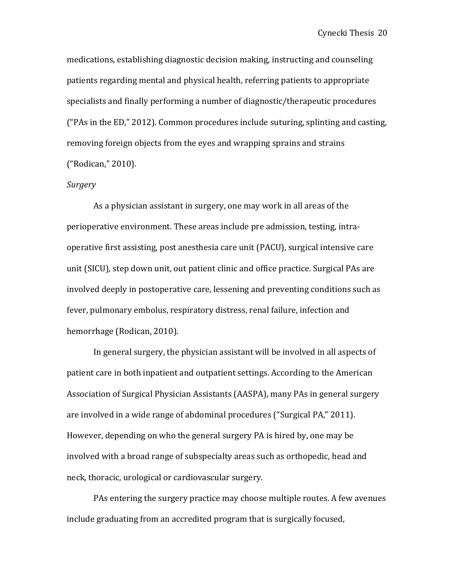medications, establishing diagnostic decision making, instructing and counseling patients regarding mental and physical health, referring patients to appropriate specialists and finally performing a number of diagnostic/therapeutic procedures ("PAs in the ED," 2012). Common procedures include suturing, splinting and casting, removing foreign objects from the eyes and wrapping sprains and strains ("Rodican," 2010). 

#### *Surgery*

As a physician assistant in surgery, one may work in all areas of the perioperative environment. These areas include pre admission, testing, intraoperative first assisting, post anesthesia care unit (PACU), surgical intensive care unit (SICU), step down unit, out patient clinic and office practice. Surgical PAs are involved deeply in postoperative care, lessening and preventing conditions such as fever, pulmonary embolus, respiratory distress, renal failure, infection and hemorrhage (Rodican, 2010).

In general surgery, the physician assistant will be involved in all aspects of patient care in both inpatient and outpatient settings. According to the American Association of Surgical Physician Assistants (AASPA), many PAs in general surgery are involved in a wide range of abdominal procedures ("Surgical PA," 2011). However, depending on who the general surgery PA is hired by, one may be involved with a broad range of subspecialty areas such as orthopedic, head and neck, thoracic, urological or cardiovascular surgery.

PAs entering the surgery practice may choose multiple routes. A few avenues include graduating from an accredited program that is surgically focused,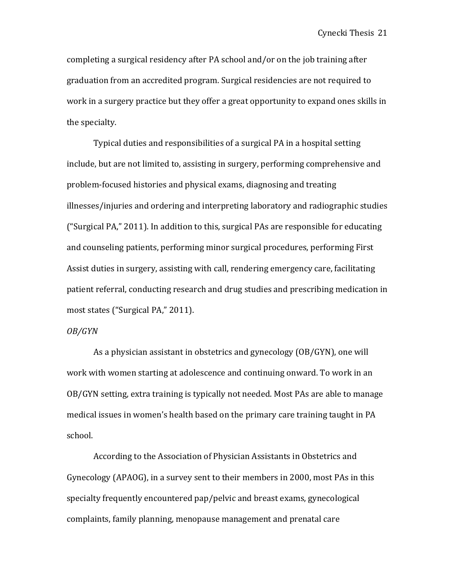completing a surgical residency after PA school and/or on the job training after graduation from an accredited program. Surgical residencies are not required to work in a surgery practice but they offer a great opportunity to expand ones skills in the specialty.

Typical duties and responsibilities of a surgical PA in a hospital setting include, but are not limited to, assisting in surgery, performing comprehensive and problem-focused histories and physical exams, diagnosing and treating illnesses/injuries and ordering and interpreting laboratory and radiographic studies ("Surgical PA," 2011). In addition to this, surgical PAs are responsible for educating and counseling patients, performing minor surgical procedures, performing First Assist duties in surgery, assisting with call, rendering emergency care, facilitating patient referral, conducting research and drug studies and prescribing medication in most states ("Surgical PA," 2011).

#### *OB/GYN*

As a physician assistant in obstetrics and gynecology  $(OB/GYN)$ , one will work with women starting at adolescence and continuing onward. To work in an OB/GYN setting, extra training is typically not needed. Most PAs are able to manage medical issues in women's health based on the primary care training taught in PA school. 

According to the Association of Physician Assistants in Obstetrics and Gynecology (APAOG), in a survey sent to their members in 2000, most PAs in this specialty frequently encountered pap/pelvic and breast exams, gynecological complaints, family planning, menopause management and prenatal care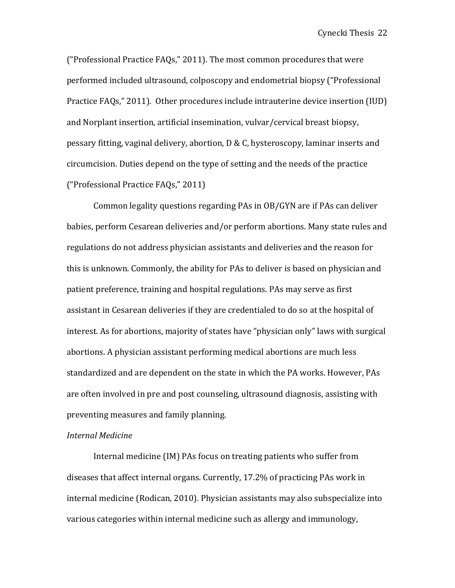("Professional Practice  $FAQs$ ," 2011). The most common procedures that were performed included ultrasound, colposcopy and endometrial biopsy ("Professional Practice FAQs," 2011). Other procedures include intrauterine device insertion (IUD) and Norplant insertion, artificial insemination, vulvar/cervical breast biopsy, pessary fitting, vaginal delivery, abortion,  $D \& C$ , hysteroscopy, laminar inserts and circumcision. Duties depend on the type of setting and the needs of the practice ("Professional Practice FAQs," 2011)

Common legality questions regarding PAs in OB/GYN are if PAs can deliver babies, perform Cesarean deliveries and/or perform abortions. Many state rules and regulations do not address physician assistants and deliveries and the reason for this is unknown. Commonly, the ability for PAs to deliver is based on physician and patient preference, training and hospital regulations. PAs may serve as first assistant in Cesarean deliveries if they are credentialed to do so at the hospital of interest. As for abortions, majority of states have "physician only" laws with surgical abortions. A physician assistant performing medical abortions are much less standardized and are dependent on the state in which the PA works. However, PAs are often involved in pre and post counseling, ultrasound diagnosis, assisting with preventing measures and family planning.

#### *Internal Medicine*

Internal medicine (IM) PAs focus on treating patients who suffer from diseases that affect internal organs. Currently, 17.2% of practicing PAs work in internal medicine (Rodican, 2010). Physician assistants may also subspecialize into various categories within internal medicine such as allergy and immunology,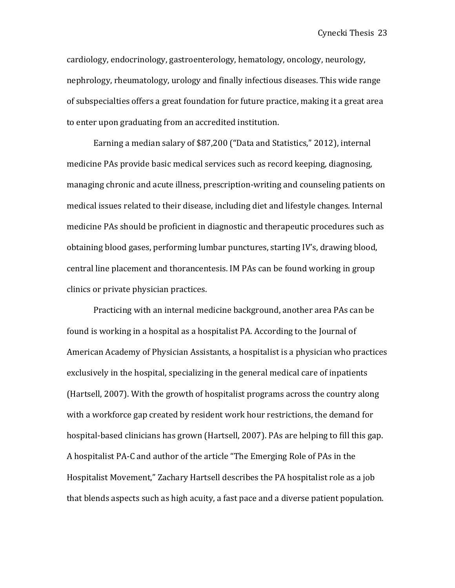cardiology, endocrinology, gastroenterology, hematology, oncology, neurology, nephrology, rheumatology, urology and finally infectious diseases. This wide range of subspecialties offers a great foundation for future practice, making it a great area to enter upon graduating from an accredited institution.

Earning a median salary of \$87,200 ("Data and Statistics," 2012), internal medicine PAs provide basic medical services such as record keeping, diagnosing, managing chronic and acute illness, prescription-writing and counseling patients on medical issues related to their disease, including diet and lifestyle changes. Internal medicine PAs should be proficient in diagnostic and therapeutic procedures such as obtaining blood gases, performing lumbar punctures, starting IV's, drawing blood, central line placement and thorancentesis. IM PAs can be found working in group clinics or private physician practices.

Practicing with an internal medicine background, another area PAs can be found is working in a hospital as a hospitalist PA. According to the Journal of American Academy of Physician Assistants, a hospitalist is a physician who practices exclusively in the hospital, specializing in the general medical care of inpatients (Hartsell, 2007). With the growth of hospitalist programs across the country along with a workforce gap created by resident work hour restrictions, the demand for hospital-based clinicians has grown (Hartsell, 2007). PAs are helping to fill this gap. A hospitalist PA-C and author of the article "The Emerging Role of PAs in the Hospitalist Movement," Zachary Hartsell describes the PA hospitalist role as a job that blends aspects such as high acuity, a fast pace and a diverse patient population.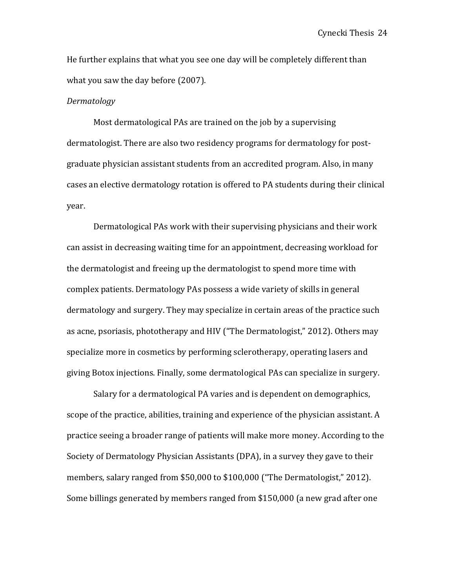He further explains that what you see one day will be completely different than what you saw the day before (2007).

#### *Dermatology*

Most dermatological PAs are trained on the job by a supervising dermatologist. There are also two residency programs for dermatology for postgraduate physician assistant students from an accredited program. Also, in many cases an elective dermatology rotation is offered to PA students during their clinical year. 

Dermatological PAs work with their supervising physicians and their work can assist in decreasing waiting time for an appointment, decreasing workload for the dermatologist and freeing up the dermatologist to spend more time with complex patients. Dermatology PAs possess a wide variety of skills in general dermatology and surgery. They may specialize in certain areas of the practice such as acne, psoriasis, phototherapy and HIV ("The Dermatologist," 2012). Others may specialize more in cosmetics by performing sclerotherapy, operating lasers and giving Botox injections. Finally, some dermatological PAs can specialize in surgery.

Salary for a dermatological PA varies and is dependent on demographics, scope of the practice, abilities, training and experience of the physician assistant. A practice seeing a broader range of patients will make more money. According to the Society of Dermatology Physician Assistants (DPA), in a survey they gave to their members, salary ranged from \$50,000 to \$100,000 ("The Dermatologist," 2012). Some billings generated by members ranged from \$150,000 (a new grad after one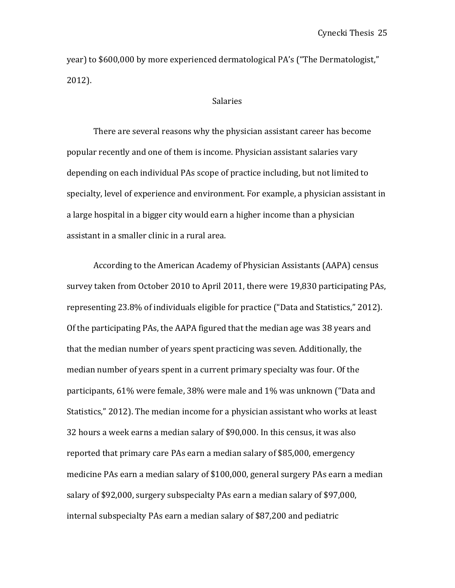year) to \$600,000 by more experienced dermatological PA's ("The Dermatologist," 2012).

#### Salaries

There are several reasons why the physician assistant career has become popular recently and one of them is income. Physician assistant salaries vary depending on each individual PAs scope of practice including, but not limited to specialty, level of experience and environment. For example, a physician assistant in a large hospital in a bigger city would earn a higher income than a physician assistant in a smaller clinic in a rural area.

According to the American Academy of Physician Assistants (AAPA) census survey taken from October 2010 to April 2011, there were 19,830 participating PAs, representing 23.8% of individuals eligible for practice ("Data and Statistics," 2012). Of the participating PAs, the AAPA figured that the median age was 38 years and that the median number of years spent practicing was seven. Additionally, the median number of years spent in a current primary specialty was four. Of the participants, 61% were female, 38% were male and 1% was unknown ("Data and Statistics," 2012). The median income for a physician assistant who works at least 32 hours a week earns a median salary of \$90,000. In this census, it was also reported that primary care PAs earn a median salary of \$85,000, emergency medicine PAs earn a median salary of  $$100,000$ , general surgery PAs earn a median salary of \$92,000, surgery subspecialty PAs earn a median salary of \$97,000, internal subspecialty PAs earn a median salary of \$87,200 and pediatric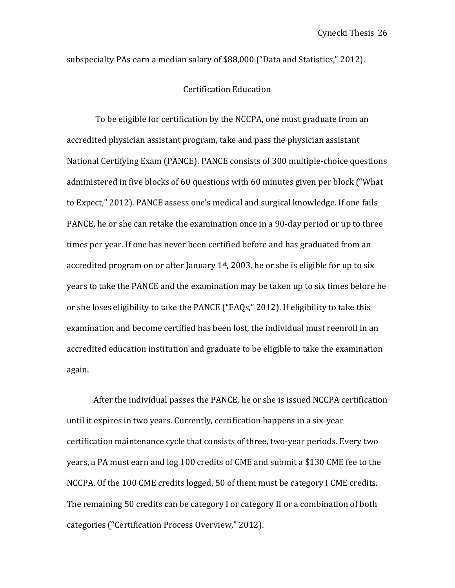subspecialty PAs earn a median salary of \$88,000 ("Data and Statistics," 2012).

## Certification Education

To be eligible for certification by the NCCPA, one must graduate from an accredited physician assistant program, take and pass the physician assistant National Certifying Exam (PANCE). PANCE consists of 300 multiple-choice questions administered in five blocks of 60 questions with 60 minutes given per block ("What to Expect," 2012). PANCE assess one's medical and surgical knowledge. If one fails PANCE, he or she can retake the examination once in a 90-day period or up to three times per year. If one has never been certified before and has graduated from an accredited program on or after January  $1<sup>st</sup>$ , 2003, he or she is eligible for up to six years to take the PANCE and the examination may be taken up to six times before he or she loses eligibility to take the PANCE ("FAQs," 2012). If eligibility to take this examination and become certified has been lost, the individual must reenroll in an accredited education institution and graduate to be eligible to take the examination again.

After the individual passes the PANCE, he or she is issued NCCPA certification until it expires in two years. Currently, certification happens in a six-year certification maintenance cycle that consists of three, two-year periods. Every two years, a PA must earn and log 100 credits of CME and submit a \$130 CME fee to the NCCPA. Of the 100 CME credits logged, 50 of them must be category I CME credits. The remaining 50 credits can be category I or category II or a combination of both categories ("Certification Process Overview," 2012).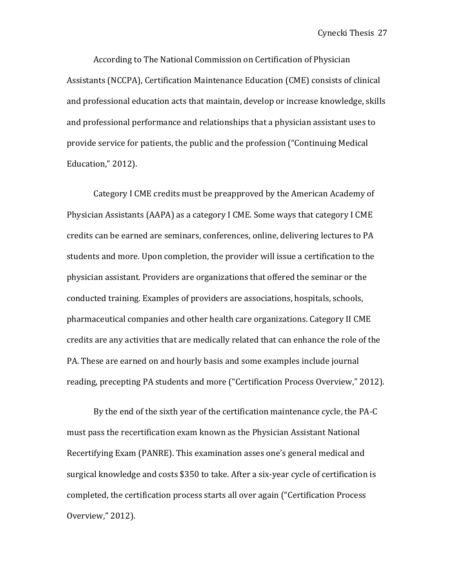According to The National Commission on Certification of Physician Assistants (NCCPA), Certification Maintenance Education (CME) consists of clinical and professional education acts that maintain, develop or increase knowledge, skills and professional performance and relationships that a physician assistant uses to provide service for patients, the public and the profession ("Continuing Medical Education," 2012).

Category I CME credits must be preapproved by the American Academy of Physician Assistants (AAPA) as a category I CME. Some ways that category I CME credits can be earned are seminars, conferences, online, delivering lectures to PA students and more. Upon completion, the provider will issue a certification to the physician assistant. Providers are organizations that offered the seminar or the conducted training. Examples of providers are associations, hospitals, schools, pharmaceutical companies and other health care organizations. Category II CME credits are any activities that are medically related that can enhance the role of the PA. These are earned on and hourly basis and some examples include journal reading, precepting PA students and more ("Certification Process Overview," 2012).

By the end of the sixth year of the certification maintenance cycle, the PA-C must pass the recertification exam known as the Physician Assistant National Recertifying Exam (PANRE). This examination asses one's general medical and surgical knowledge and costs \$350 to take. After a six-year cycle of certification is completed, the certification process starts all over again ("Certification Process Overview," 2012).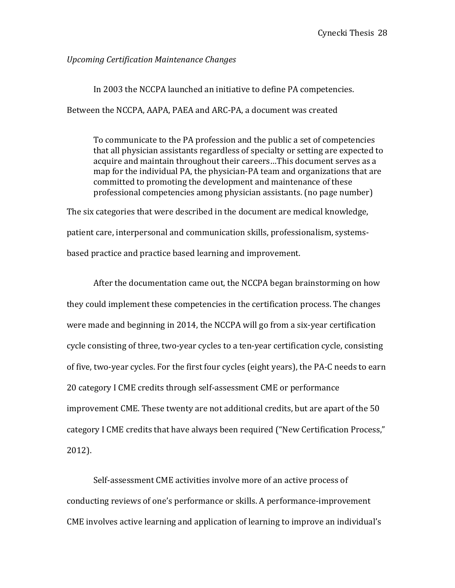## *Upcoming Certification Maintenance Changes*

In 2003 the NCCPA launched an initiative to define PA competencies. Between the NCCPA, AAPA, PAEA and ARC-PA, a document was created

To communicate to the PA profession and the public a set of competencies that all physician assistants regardless of specialty or setting are expected to acquire and maintain throughout their careers...This document serves as a map for the individual PA, the physician-PA team and organizations that are committed to promoting the development and maintenance of these professional competencies among physician assistants. (no page number)

The six categories that were described in the document are medical knowledge, patient care, interpersonal and communication skills, professionalism, systemsbased practice and practice based learning and improvement.

After the documentation came out, the NCCPA began brainstorming on how they could implement these competencies in the certification process. The changes were made and beginning in 2014, the NCCPA will go from a six-year certification cycle consisting of three, two-year cycles to a ten-year certification cycle, consisting of five, two-year cycles. For the first four cycles (eight years), the PA-C needs to earn 20 category I CME credits through self-assessment CME or performance improvement CME. These twenty are not additional credits, but are apart of the 50 category I CME credits that have always been required ("New Certification Process," 2012). 

Self-assessment CME activities involve more of an active process of conducting reviews of one's performance or skills. A performance-improvement CME involves active learning and application of learning to improve an individual's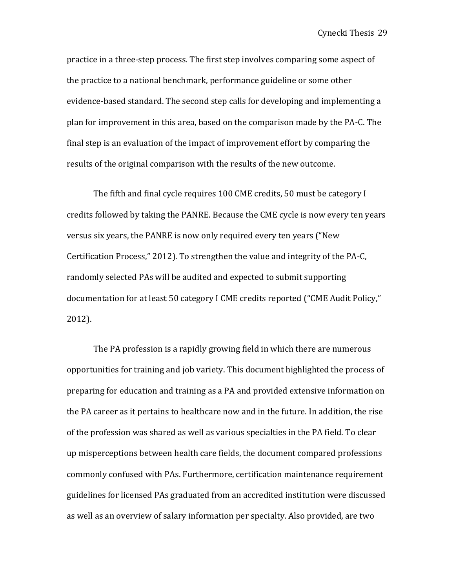practice in a three-step process. The first step involves comparing some aspect of the practice to a national benchmark, performance guideline or some other evidence-based standard. The second step calls for developing and implementing a plan for improvement in this area, based on the comparison made by the PA-C. The final step is an evaluation of the impact of improvement effort by comparing the results of the original comparison with the results of the new outcome.

The fifth and final cycle requires 100 CME credits, 50 must be category I credits followed by taking the PANRE. Because the CME cycle is now every ten years versus six years, the PANRE is now only required every ten years ("New Certification Process," 2012). To strengthen the value and integrity of the PA-C, randomly selected PAs will be audited and expected to submit supporting documentation for at least 50 category I CME credits reported ("CME Audit Policy," 2012). 

The PA profession is a rapidly growing field in which there are numerous opportunities for training and job variety. This document highlighted the process of preparing for education and training as a PA and provided extensive information on the PA career as it pertains to healthcare now and in the future. In addition, the rise of the profession was shared as well as various specialties in the PA field. To clear up misperceptions between health care fields, the document compared professions commonly confused with PAs. Furthermore, certification maintenance requirement guidelines for licensed PAs graduated from an accredited institution were discussed as well as an overview of salary information per specialty. Also provided, are two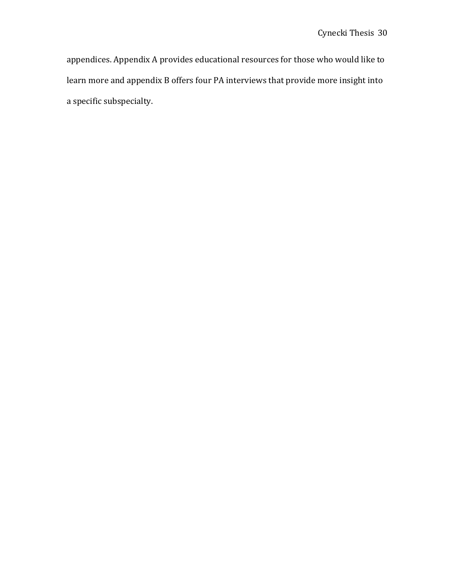appendices. Appendix A provides educational resources for those who would like to learn more and appendix B offers four PA interviews that provide more insight into a specific subspecialty.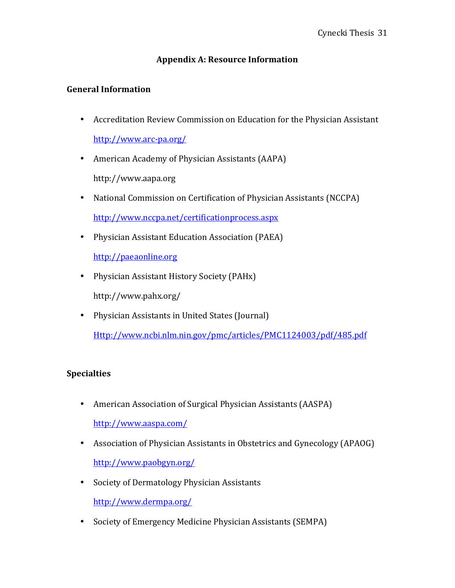## **Appendix A: Resource Information**

## **General Information**

- Accreditation Review Commission on Education for the Physician Assistant http://www.arc-pa.org/
- American Academy of Physician Assistants (AAPA) http://www.aapa.org
- National Commission on Certification of Physician Assistants (NCCPA) http://www.nccpa.net/certificationprocess.aspx
- Physician Assistant Education Association (PAEA)

http://paeaonline.org

• Physician Assistant History Society (PAHx)

http://www.pahx.org/

• Physician Assistants in United States (Journal)

Http://www.ncbi.nlm.nin.gov/pmc/articles/PMC1124003/pdf/485.pdf

## **Specialties**

- American Association of Surgical Physician Assistants (AASPA) http://www.aaspa.com/
- Association of Physician Assistants in Obstetrics and Gynecology (APAOG) http://www.paobgyn.org/
- Society of Dermatology Physician Assistants

http://www.dermpa.org/

• Society of Emergency Medicine Physician Assistants (SEMPA)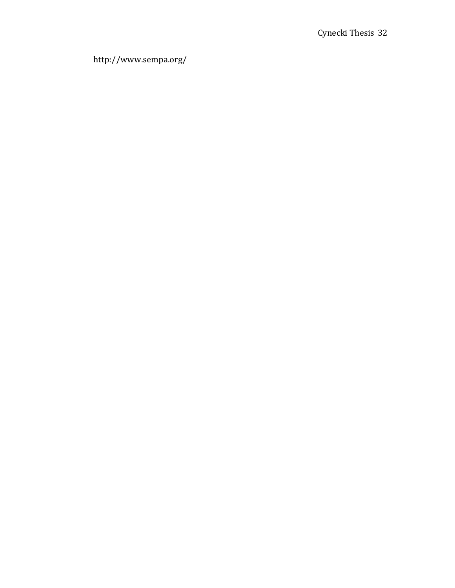http://www.sempa.org/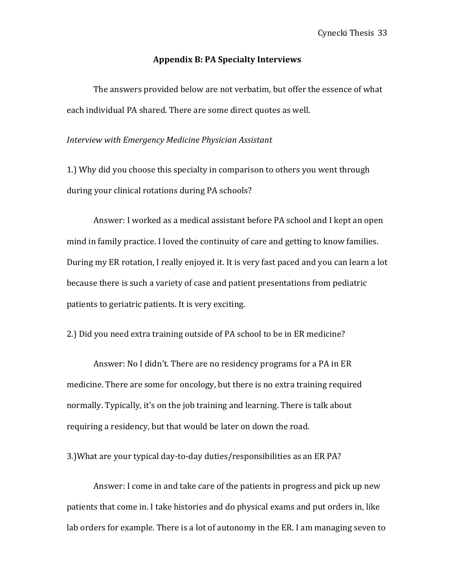#### **Appendix B: PA Specialty Interviews**

The answers provided below are not verbatim, but offer the essence of what each individual PA shared. There are some direct quotes as well.

#### *Interview with Emergency Medicine Physician Assistant*

1.) Why did you choose this specialty in comparison to others you went through during your clinical rotations during PA schools?

Answer: I worked as a medical assistant before PA school and I kept an open mind in family practice. I loved the continuity of care and getting to know families. During my ER rotation, I really enjoyed it. It is very fast paced and you can learn a lot because there is such a variety of case and patient presentations from pediatric patients to geriatric patients. It is very exciting.

2.) Did you need extra training outside of PA school to be in ER medicine?

Answer: No I didn't. There are no residency programs for a PA in ER medicine. There are some for oncology, but there is no extra training required normally. Typically, it's on the job training and learning. There is talk about requiring a residency, but that would be later on down the road.

3.) What are your typical day-to-day duties/responsibilities as an ER PA?

Answer: I come in and take care of the patients in progress and pick up new patients that come in. I take histories and do physical exams and put orders in, like lab orders for example. There is a lot of autonomy in the ER. I am managing seven to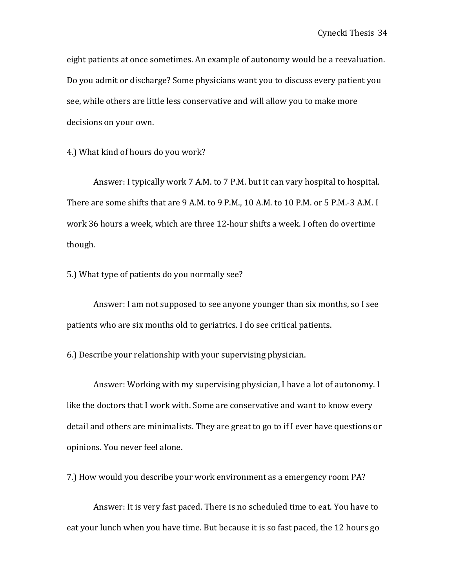eight patients at once sometimes. An example of autonomy would be a reevaluation. Do you admit or discharge? Some physicians want you to discuss every patient you see, while others are little less conservative and will allow you to make more decisions on your own.

4.) What kind of hours do you work?

Answer: I typically work 7 A.M. to 7 P.M. but it can vary hospital to hospital. There are some shifts that are 9 A.M. to 9 P.M., 10 A.M. to 10 P.M. or 5 P.M.-3 A.M. I work 36 hours a week, which are three 12-hour shifts a week. I often do overtime though. 

5.) What type of patients do you normally see?

Answer: I am not supposed to see anyone younger than six months, so I see patients who are six months old to geriatrics. I do see critical patients.

6.) Describe your relationship with your supervising physician.

Answer: Working with my supervising physician, I have a lot of autonomy. I like the doctors that I work with. Some are conservative and want to know every detail and others are minimalists. They are great to go to if I ever have questions or opinions. You never feel alone.

7.) How would you describe your work environment as a emergency room PA?

Answer: It is very fast paced. There is no scheduled time to eat. You have to eat your lunch when you have time. But because it is so fast paced, the 12 hours go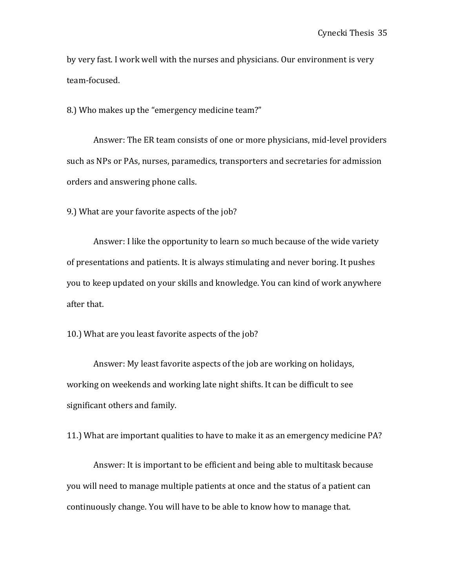by very fast. I work well with the nurses and physicians. Our environment is very team-focused. 

8.) Who makes up the "emergency medicine team?"

Answer: The ER team consists of one or more physicians, mid-level providers such as NPs or PAs, nurses, paramedics, transporters and secretaries for admission orders and answering phone calls.

9.) What are your favorite aspects of the job?

Answer: I like the opportunity to learn so much because of the wide variety of presentations and patients. It is always stimulating and never boring. It pushes you to keep updated on your skills and knowledge. You can kind of work anywhere after that.

10.) What are you least favorite aspects of the job?

Answer: My least favorite aspects of the job are working on holidays, working on weekends and working late night shifts. It can be difficult to see significant others and family.

11.) What are important qualities to have to make it as an emergency medicine PA?

Answer: It is important to be efficient and being able to multitask because you will need to manage multiple patients at once and the status of a patient can continuously change. You will have to be able to know how to manage that.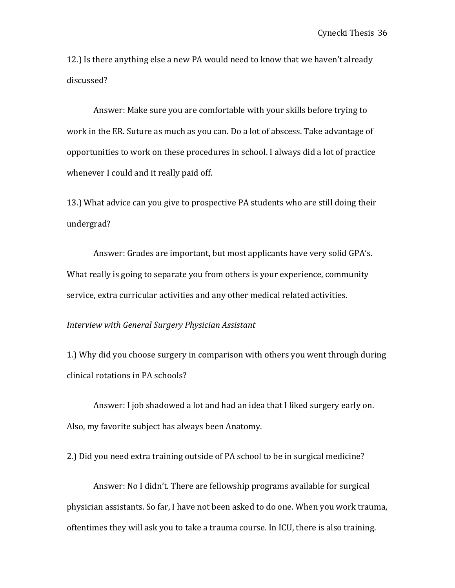12.) Is there anything else a new PA would need to know that we haven't already discussed?

Answer: Make sure you are comfortable with your skills before trying to work in the ER. Suture as much as you can. Do a lot of abscess. Take advantage of opportunities to work on these procedures in school. I always did a lot of practice whenever I could and it really paid off.

13.) What advice can you give to prospective PA students who are still doing their undergrad?

Answer: Grades are important, but most applicants have very solid GPA's. What really is going to separate you from others is your experience, community service, extra curricular activities and any other medical related activities.

#### *Interview with General Surgery Physician Assistant*

1.) Why did you choose surgery in comparison with others you went through during clinical rotations in PA schools?

Answer: I job shadowed a lot and had an idea that I liked surgery early on. Also, my favorite subject has always been Anatomy.

2.) Did you need extra training outside of PA school to be in surgical medicine?

Answer: No I didn't. There are fellowship programs available for surgical physician assistants. So far, I have not been asked to do one. When you work trauma, oftentimes they will ask you to take a trauma course. In ICU, there is also training.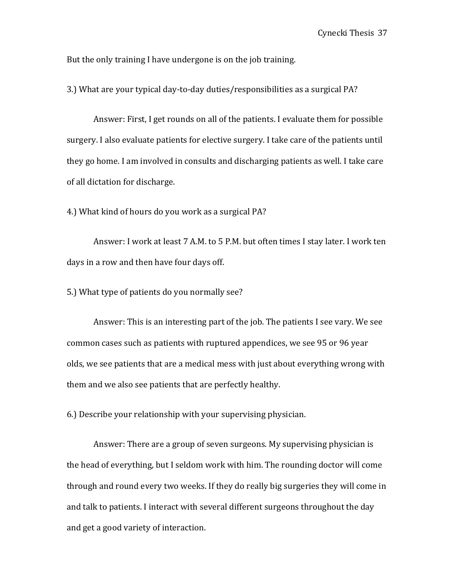But the only training I have undergone is on the job training.

3.) What are your typical day-to-day duties/responsibilities as a surgical PA?

Answer: First, I get rounds on all of the patients. I evaluate them for possible surgery. I also evaluate patients for elective surgery. I take care of the patients until they go home. I am involved in consults and discharging patients as well. I take care of all dictation for discharge.

4.) What kind of hours do you work as a surgical PA?

Answer: I work at least 7 A.M. to 5 P.M. but often times I stay later. I work ten days in a row and then have four days off.

5.) What type of patients do you normally see?

Answer: This is an interesting part of the job. The patients I see vary. We see common cases such as patients with ruptured appendices, we see 95 or 96 year olds, we see patients that are a medical mess with just about everything wrong with them and we also see patients that are perfectly healthy.

6.) Describe your relationship with your supervising physician.

Answer: There are a group of seven surgeons. My supervising physician is the head of everything, but I seldom work with him. The rounding doctor will come through and round every two weeks. If they do really big surgeries they will come in and talk to patients. I interact with several different surgeons throughout the day and get a good variety of interaction.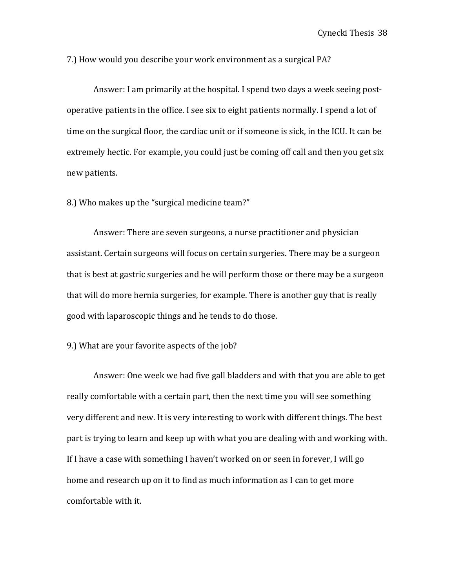7.) How would you describe your work environment as a surgical PA?

Answer: I am primarily at the hospital. I spend two days a week seeing postoperative patients in the office. I see six to eight patients normally. I spend a lot of time on the surgical floor, the cardiac unit or if someone is sick, in the ICU. It can be extremely hectic. For example, you could just be coming off call and then you get six new patients. 

8.) Who makes up the "surgical medicine team?"

Answer: There are seven surgeons, a nurse practitioner and physician assistant. Certain surgeons will focus on certain surgeries. There may be a surgeon that is best at gastric surgeries and he will perform those or there may be a surgeon that will do more hernia surgeries, for example. There is another guy that is really good with laparoscopic things and he tends to do those.

#### 9.) What are your favorite aspects of the job?

Answer: One week we had five gall bladders and with that you are able to get really comfortable with a certain part, then the next time you will see something very different and new. It is very interesting to work with different things. The best part is trying to learn and keep up with what you are dealing with and working with. If I have a case with something I haven't worked on or seen in forever, I will go home and research up on it to find as much information as I can to get more comfortable with it.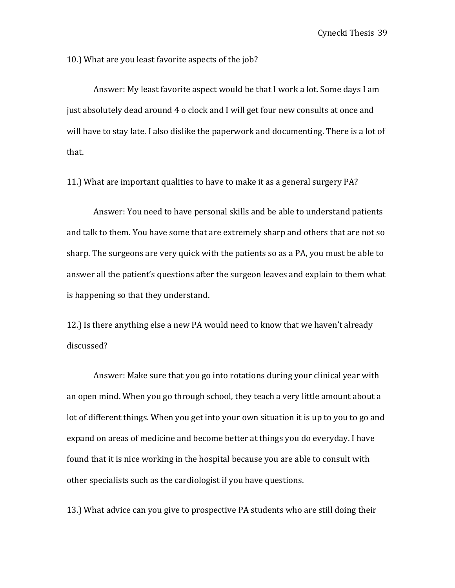10.) What are you least favorite aspects of the job?

Answer: My least favorite aspect would be that I work a lot. Some days I am just absolutely dead around 4 o clock and I will get four new consults at once and will have to stay late. I also dislike the paperwork and documenting. There is a lot of that. 

11.) What are important qualities to have to make it as a general surgery PA?

Answer: You need to have personal skills and be able to understand patients and talk to them. You have some that are extremely sharp and others that are not so sharp. The surgeons are very quick with the patients so as a PA, you must be able to answer all the patient's questions after the surgeon leaves and explain to them what is happening so that they understand.

12.) Is there anything else a new PA would need to know that we haven't already discussed?

Answer: Make sure that you go into rotations during your clinical year with an open mind. When you go through school, they teach a very little amount about a lot of different things. When you get into your own situation it is up to you to go and expand on areas of medicine and become better at things you do everyday. I have found that it is nice working in the hospital because you are able to consult with other specialists such as the cardiologist if you have questions.

13.) What advice can you give to prospective PA students who are still doing their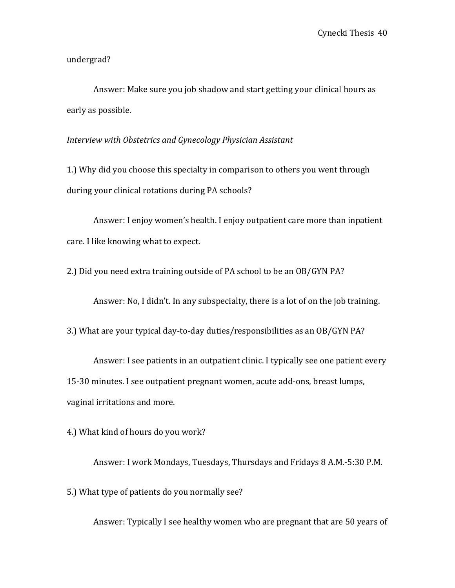undergrad?

Answer: Make sure you job shadow and start getting your clinical hours as early as possible.

*Interview with Obstetrics and Gynecology Physician Assistant*

1.) Why did you choose this specialty in comparison to others you went through during your clinical rotations during PA schools?

Answer: I enjoy women's health. I enjoy outpatient care more than inpatient care. I like knowing what to expect.

2.) Did you need extra training outside of PA school to be an OB/GYN PA?

Answer: No, I didn't. In any subspecialty, there is a lot of on the job training.

3.) What are your typical day-to-day duties/responsibilities as an OB/GYN PA?

Answer: I see patients in an outpatient clinic. I typically see one patient every 15-30 minutes. I see outpatient pregnant women, acute add-ons, breast lumps, vaginal irritations and more.

4.) What kind of hours do you work?

Answer: I work Mondays, Tuesdays, Thursdays and Fridays 8 A.M.-5:30 P.M.

5.) What type of patients do you normally see?

Answer: Typically I see healthy women who are pregnant that are 50 years of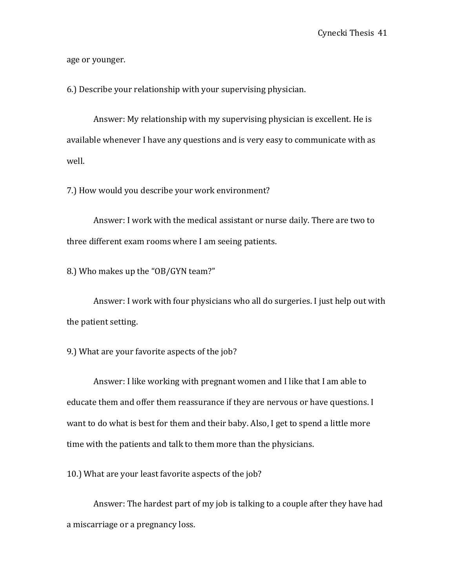age or younger.

6.) Describe your relationship with your supervising physician.

Answer: My relationship with my supervising physician is excellent. He is available whenever I have any questions and is very easy to communicate with as well. 

7.) How would you describe your work environment?

Answer: I work with the medical assistant or nurse daily. There are two to three different exam rooms where I am seeing patients.

8.) Who makes up the "OB/GYN team?"

Answer: I work with four physicians who all do surgeries. I just help out with the patient setting.

9.) What are your favorite aspects of the job?

Answer: I like working with pregnant women and I like that I am able to educate them and offer them reassurance if they are nervous or have questions. I want to do what is best for them and their baby. Also, I get to spend a little more time with the patients and talk to them more than the physicians.

10.) What are your least favorite aspects of the job?

Answer: The hardest part of my job is talking to a couple after they have had a miscarriage or a pregnancy loss.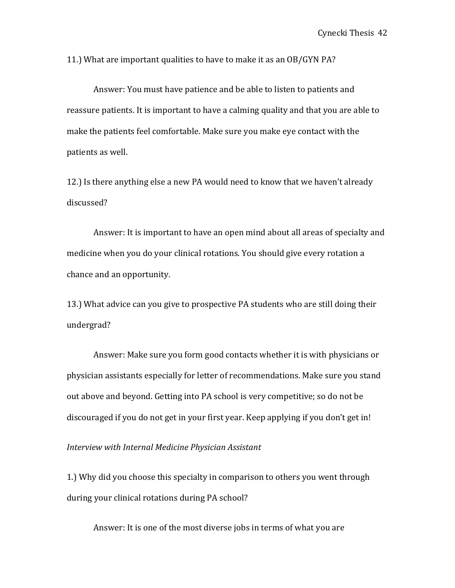11.) What are important qualities to have to make it as an OB/GYN PA?

Answer: You must have patience and be able to listen to patients and reassure patients. It is important to have a calming quality and that you are able to make the patients feel comfortable. Make sure you make eye contact with the patients as well.

12.) Is there anything else a new PA would need to know that we haven't already discussed?

Answer: It is important to have an open mind about all areas of specialty and medicine when you do your clinical rotations. You should give every rotation a chance and an opportunity.

13.) What advice can you give to prospective PA students who are still doing their undergrad?

Answer: Make sure you form good contacts whether it is with physicians or physician assistants especially for letter of recommendations. Make sure you stand out above and beyond. Getting into PA school is very competitive; so do not be discouraged if you do not get in your first year. Keep applying if you don't get in!

*Interview with Internal Medicine Physician Assistant*

1.) Why did you choose this specialty in comparison to others you went through during your clinical rotations during PA school?

Answer: It is one of the most diverse jobs in terms of what you are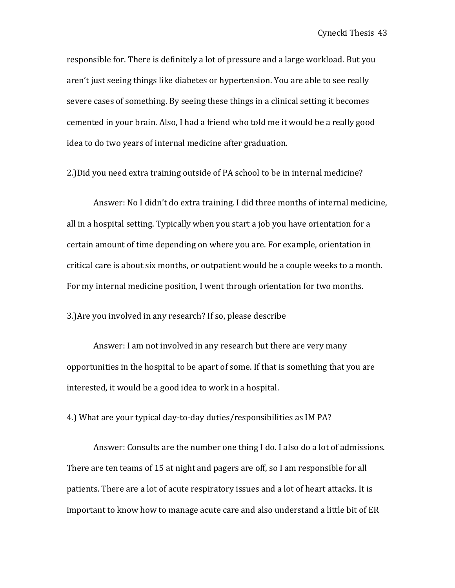responsible for. There is definitely a lot of pressure and a large workload. But you aren't just seeing things like diabetes or hypertension. You are able to see really severe cases of something. By seeing these things in a clinical setting it becomes cemented in your brain. Also, I had a friend who told me it would be a really good idea to do two years of internal medicine after graduation.

2.) Did you need extra training outside of PA school to be in internal medicine?

Answer: No I didn't do extra training. I did three months of internal medicine, all in a hospital setting. Typically when you start a job you have orientation for a certain amount of time depending on where you are. For example, orientation in critical care is about six months, or outpatient would be a couple weeks to a month. For my internal medicine position, I went through orientation for two months.

3.) Are you involved in any research? If so, please describe

Answer: I am not involved in any research but there are very many opportunities in the hospital to be apart of some. If that is something that you are interested, it would be a good idea to work in a hospital.

4.) What are your typical day-to-day duties/responsibilities as IM PA?

Answer: Consults are the number one thing I do. I also do a lot of admissions. There are ten teams of 15 at night and pagers are off, so I am responsible for all patients. There are a lot of acute respiratory issues and a lot of heart attacks. It is important to know how to manage acute care and also understand a little bit of ER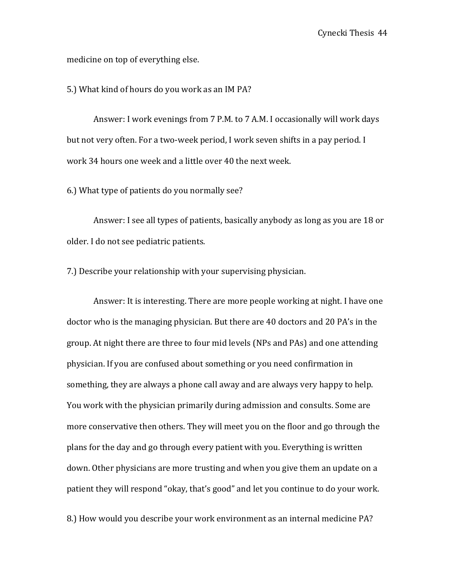medicine on top of everything else.

5.) What kind of hours do you work as an IM PA?

Answer: I work evenings from 7 P.M. to 7 A.M. I occasionally will work days but not very often. For a two-week period, I work seven shifts in a pay period. I work 34 hours one week and a little over 40 the next week.

6.) What type of patients do you normally see?

Answer: I see all types of patients, basically anybody as long as you are 18 or older. I do not see pediatric patients.

7.) Describe your relationship with your supervising physician.

Answer: It is interesting. There are more people working at night. I have one doctor who is the managing physician. But there are 40 doctors and 20 PA's in the group. At night there are three to four mid levels (NPs and PAs) and one attending physician. If you are confused about something or you need confirmation in something, they are always a phone call away and are always very happy to help. You work with the physician primarily during admission and consults. Some are more conservative then others. They will meet you on the floor and go through the plans for the day and go through every patient with you. Everything is written down. Other physicians are more trusting and when you give them an update on a patient they will respond "okay, that's good" and let you continue to do your work.

8.) How would you describe your work environment as an internal medicine PA?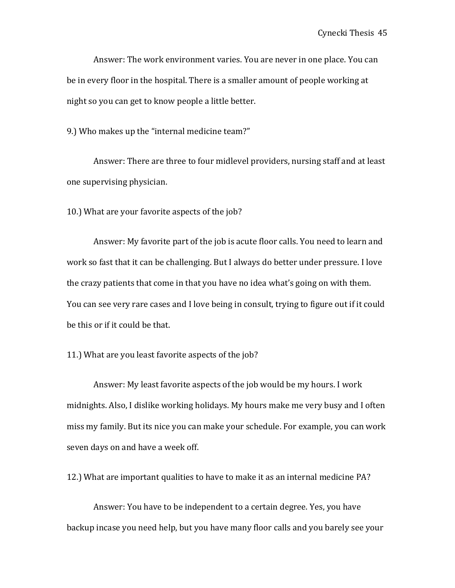Answer: The work environment varies. You are never in one place. You can be in every floor in the hospital. There is a smaller amount of people working at night so you can get to know people a little better.

9.) Who makes up the "internal medicine team?"

Answer: There are three to four midlevel providers, nursing staff and at least one supervising physician.

10.) What are your favorite aspects of the job?

Answer: My favorite part of the job is acute floor calls. You need to learn and work so fast that it can be challenging. But I always do better under pressure. I love the crazy patients that come in that you have no idea what's going on with them. You can see very rare cases and I love being in consult, trying to figure out if it could be this or if it could be that.

#### 11.) What are you least favorite aspects of the job?

Answer: My least favorite aspects of the job would be my hours. I work midnights. Also, I dislike working holidays. My hours make me very busy and I often miss my family. But its nice you can make your schedule. For example, you can work seven days on and have a week off.

12.) What are important qualities to have to make it as an internal medicine PA?

Answer: You have to be independent to a certain degree. Yes, you have backup incase you need help, but you have many floor calls and you barely see your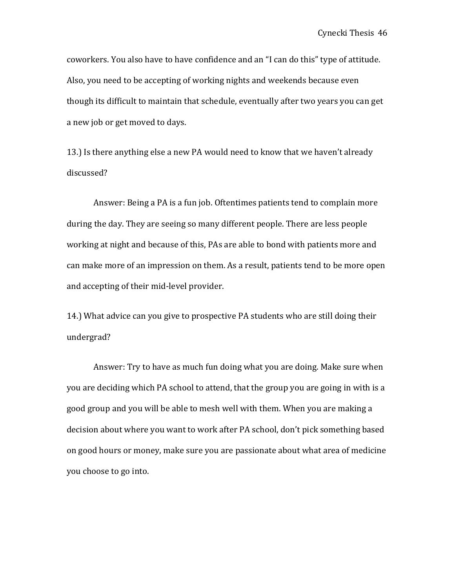coworkers. You also have to have confidence and an "I can do this" type of attitude. Also, you need to be accepting of working nights and weekends because even though its difficult to maintain that schedule, eventually after two years you can get a new job or get moved to days.

13.) Is there anything else a new PA would need to know that we haven't already discussed? 

Answer: Being a PA is a fun job. Oftentimes patients tend to complain more during the day. They are seeing so many different people. There are less people working at night and because of this, PAs are able to bond with patients more and can make more of an impression on them. As a result, patients tend to be more open and accepting of their mid-level provider.

14.) What advice can you give to prospective PA students who are still doing their undergrad?

Answer: Try to have as much fun doing what you are doing. Make sure when you are deciding which PA school to attend, that the group you are going in with is a good group and you will be able to mesh well with them. When you are making a decision about where you want to work after PA school, don't pick something based on good hours or money, make sure you are passionate about what area of medicine you choose to go into.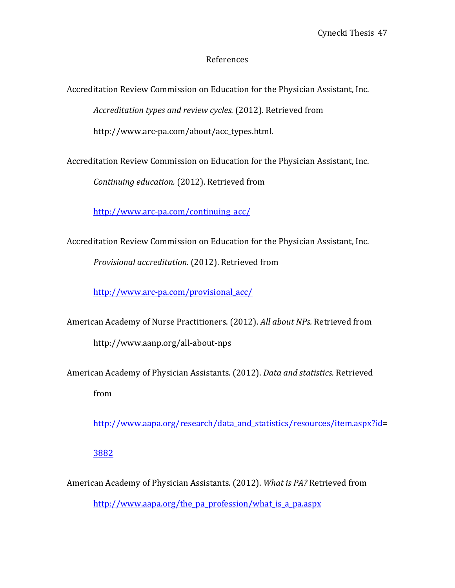## References

Accreditation Review Commission on Education for the Physician Assistant, Inc.

Accreditation types and review cycles. (2012). Retrieved from

http://www.arc-pa.com/about/acc\_types.html.

Accreditation Review Commission on Education for the Physician Assistant, Inc.

*Continuing education.* (2012). Retrieved from

http://www.arc-pa.com/continuing\_acc/

Accreditation Review Commission on Education for the Physician Assistant, Inc.

*Provisional accreditation.* (2012). Retrieved from

http://www.arc-pa.com/provisional\_acc/

American Academy of Nurse Practitioners. (2012). *All about NPs.* Retrieved from http://www.aanp.org/all-about-nps

American Academy of Physician Assistants. (2012). *Data and statistics.* Retrieved

from 

http://www.aapa.org/research/data\_and\_statistics/resources/item.aspx?id=

3882

American Academy of Physician Assistants. (2012). What is PA? Retrieved from

http://www.aapa.org/the\_pa\_profession/what\_is\_a\_pa.aspx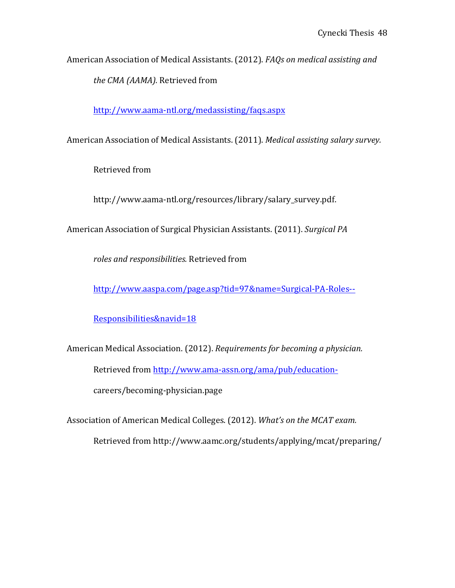American Association of Medical Assistants. (2012). *FAQs on medical assisting and the CMA (AAMA).* Retrieved from

http://www.aama-ntl.org/medassisting/faqs.aspx

American Association of Medical Assistants. (2011). *Medical assisting salary survey.* 

Retrieved from

http://www.aama-ntl.org/resources/library/salary\_survey.pdf.

American Association of Surgical Physician Assistants. (2011). *Surgical PA* 

*roles and responsibilities.* Retrieved from 

http://www.aaspa.com/page.asp?tid=97&name=Surgical-PA-Roles--

Responsibilities&navid=18

American Medical Association. (2012). *Requirements for becoming a physician.* Retrieved from http://www.ama-assn.org/ama/pub/educationcareers/becoming-physician.page

Association of American Medical Colleges. (2012). *What's on the MCAT exam.* Retrieved from http://www.aamc.org/students/applying/mcat/preparing/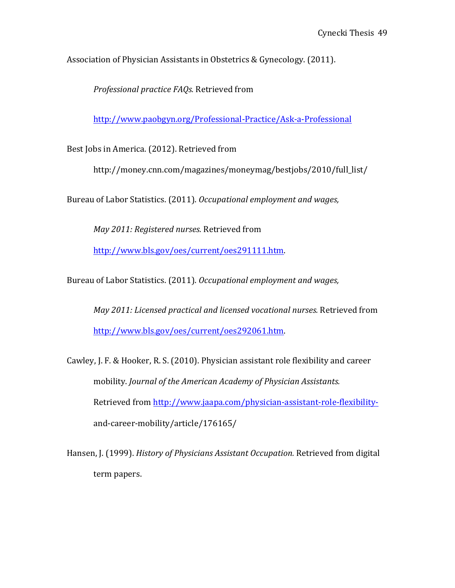Association of Physician Assistants in Obstetrics & Gynecology. (2011).

*Professional practice FAQs.* Retrieved from

http://www.paobgyn.org/Professional-Practice/Ask-a-Professional

Best Jobs in America. (2012). Retrieved from

http://money.cnn.com/magazines/moneymag/bestjobs/2010/full\_list/

Bureau of Labor Statistics. (2011). *Occupational employment and wages,* 

*May 2011: Registered nurses.* Retrieved from

http://www.bls.gov/oes/current/oes291111.htm.

Bureau of Labor Statistics. (2011). *Occupational employment and wages*,

*May 2011: Licensed practical and licensed vocational nurses.* Retrieved from http://www.bls.gov/oes/current/oes292061.htm.

Cawley, J. F. & Hooker, R. S. (2010). Physician assistant role flexibility and career mobility. *Journal of the American Academy of Physician Assistants.* Retrieved from http://www.jaapa.com/physician-assistant-role-flexibilityand-career-mobility/article/176165/

Hansen, J. (1999). *History of Physicians Assistant Occupation*. Retrieved from digital term papers.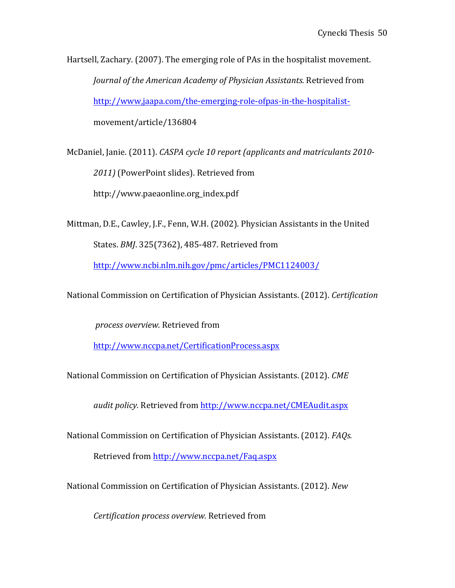Hartsell, Zachary. (2007). The emerging role of PAs in the hospitalist movement. *Journal of the American Academy of Physician Assistants.* Retrieved from http://www,jaapa.com/the-emerging-role-ofpas-in-the-hospitalistmovement/article/136804

McDaniel, Janie. (2011). *CASPA cycle 10 report (applicants and matriculants 2010-*2011) (PowerPoint slides). Retrieved from http://www.paeaonline.org\_index.pdf

Mittman, D.E., Cawley, J.F., Fenn, W.H. (2002). Physician Assistants in the United States. *BMJ*. 325(7362), 485-487. Retrieved from

http://www.ncbi.nlm.nih.gov/pmc/articles/PMC1124003/

National Commission on Certification of Physician Assistants. (2012). *Certification*

*process overview.* Retrieved from

http://www.nccpa.net/CertificationProcess.aspx

National Commission on Certification of Physician Assistants. (2012). CME

*audit policy.* Retrieved from http://www.nccpa.net/CMEAudit.aspx

National Commission on Certification of Physician Assistants. (2012). *FAQs.* 

Retrieved from http://www.nccpa.net/Faq.aspx

National Commission on Certification of Physician Assistants. (2012). New

*Certification process overview.* Retrieved from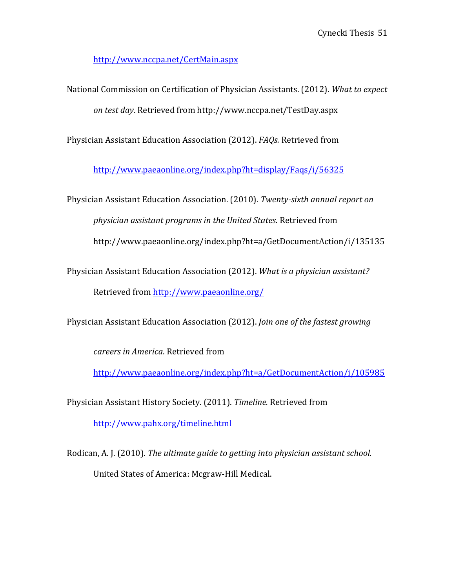http://www.nccpa.net/CertMain.aspx

National Commission on Certification of Physician Assistants. (2012). What to expect *on test day*. Retrieved from http://www.nccpa.net/TestDay.aspx

Physician Assistant Education Association (2012). *FAQs.* Retrieved from

http://www.paeaonline.org/index.php?ht=display/Faqs/i/56325

Physician Assistant Education Association. (2010). *Twenty-sixth annual report on physician assistant programs in the United States.* Retrieved from http://www.paeaonline.org/index.php?ht=a/GetDocumentAction/i/135135

Physician Assistant Education Association (2012). *What is a physician assistant?* Retrieved from http://www.paeaonline.org/

Physician Assistant Education Association (2012). *Join one of the fastest growing* 

*careers in America*. Retrieved from

http://www.paeaonline.org/index.php?ht=a/GetDocumentAction/i/105985 

Physician Assistant History Society. (2011). *Timeline*. Retrieved from http://www.pahx.org/timeline.html

Rodican, A. J. (2010). *The ultimate guide to getting into physician assistant school.* United States of America: Mcgraw-Hill Medical.